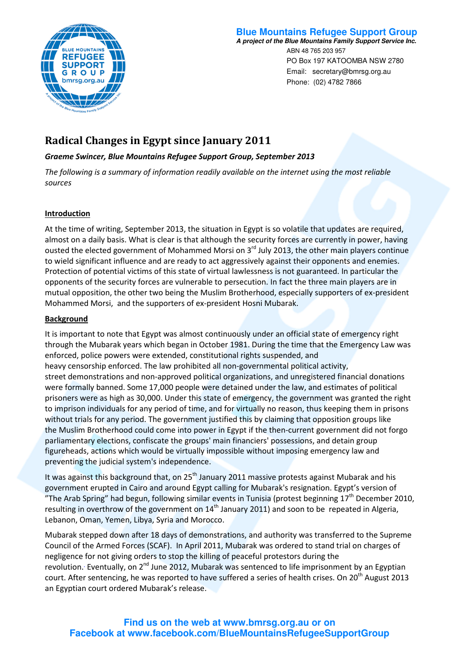

**Blue Mountains Refugee Support Group**

**A project of the Blue Mountains Family Support Service Inc.**  ABN 48 765 203 957 PO Box 197 KATOOMBA NSW 2780 Email: secretary@bmrsg.org.au Phone: (02) 4782 7866

# **Radical Changes in Egypt since January 2011**

#### *Graeme Swincer, Blue Mountains Refugee Support Group, September 2013*

*The following is a summary of information readily available on the internet using the most reliable sources* 

## **Introduction**

At the time of writing, September 2013, the situation in Egypt is so volatile that updates are required, almost on a daily basis. What is clear is that although the security forces are currently in power, having ousted the elected government of Mohammed Morsi on 3<sup>rd</sup> July 2013, the other main players continue to wield significant influence and are ready to act aggressively against their opponents and enemies. Protection of potential victims of this state of virtual lawlessness is not guaranteed. In particular the opponents of the security forces are vulnerable to persecution. In fact the three main players are in mutual opposition, the other two being the Muslim Brotherhood, especially supporters of ex-president Mohammed Morsi, and the supporters of ex-president Hosni Mubarak.

## **Background**

It is important to note that Egypt was almost continuously under an official state of emergency right through the Mubarak years which began in October 1981. During the time that the Emergency Law was enforced, police powers were extended, constitutional rights suspended, and heavy censorship enforced. The law prohibited all non-governmental political activity, street demonstrations and non-approved political organizations, and unregistered financial donations were formally banned. Some 17,000 people were detained under the law, and estimates of political prisoners were as high as 30,000. Under this state of emergency, the government was granted the right to imprison individuals for any period of time, and for virtually no reason, thus keeping them in prisons without trials for any period. The government justified this by claiming that opposition groups like the Muslim Brotherhood could come into power in Egypt if the then-current government did not forgo parliamentary elections, confiscate the groups' main financiers' possessions, and detain group figureheads, actions which would be virtually impossible without imposing emergency law and preventing the judicial system's independence.

It was against this background that, on 25<sup>th</sup> January 2011 massive protests against Mubarak and his government erupted in Cairo and around Egypt calling for Mubarak's resignation. Egypt's version of "The Arab Spring" had begun, following similar events in Tunisia (protest beginning 17<sup>th</sup> December 2010, resulting in overthrow of the government on  $14<sup>th</sup>$  January 2011) and soon to be repeated in Algeria, Lebanon, Oman, Yemen, Libya, Syria and Morocco.

Mubarak stepped down after 18 days of demonstrations, and authority was transferred to the Supreme Council of the Armed Forces (SCAF). In April 2011, Mubarak was ordered to stand trial on charges of negligence for not giving orders to stop the killing of peaceful protestors during the revolution. Eventually, on 2<sup>nd</sup> June 2012, Mubarak was sentenced to life imprisonment by an Egyptian court. After sentencing, he was reported to have suffered a series of health crises. On 20<sup>th</sup> August 2013 an Egyptian court ordered Mubarak's release.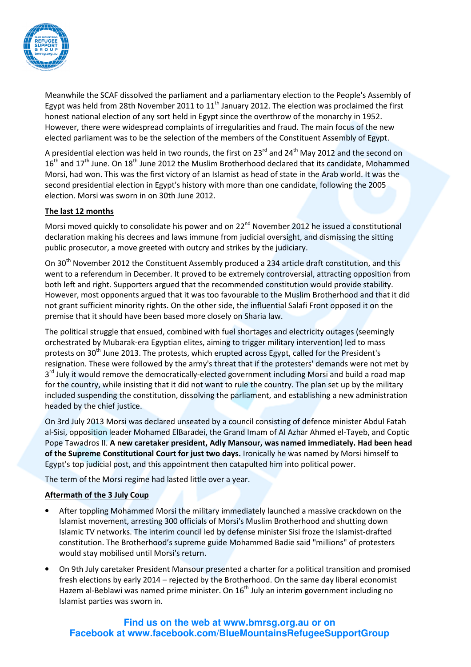

Meanwhile the SCAF dissolved the parliament and a parliamentary election to the People's Assembly of Egypt was held from 28th November 2011 to  $11<sup>th</sup>$  January 2012. The election was proclaimed the first honest national election of any sort held in Egypt since the overthrow of the monarchy in 1952. However, there were widespread complaints of irregularities and fraud. The main focus of the new elected parliament was to be the selection of the members of the Constituent Assembly of Egypt.

A presidential election was held in two rounds, the first on 23 $^{rd}$  and 24<sup>th</sup> May 2012 and the second on 16<sup>th</sup> and 17<sup>th</sup> June. On 18<sup>th</sup> June 2012 the Muslim Brotherhood declared that its candidate, Mohammed Morsi, had won. This was the first victory of an Islamist as head of state in the Arab world. It was the second presidential election in Egypt's history with more than one candidate, following the 2005 election. Morsi was sworn in on 30th June 2012.

#### **The last 12 months**

Morsi moved quickly to consolidate his power and on 22<sup>nd</sup> November 2012 he issued a constitutional declaration making his decrees and laws immune from judicial oversight, and dismissing the sitting public prosecutor, a move greeted with outcry and strikes by the judiciary.

On 30<sup>th</sup> November 2012 the Constituent Assembly produced a 234 article draft constitution, and this went to a referendum in December. It proved to be extremely controversial, attracting opposition from both left and right. Supporters argued that the recommended constitution would provide stability. However, most opponents argued that it was too favourable to the Muslim Brotherhood and that it did not grant sufficient minority rights. On the other side, the influential Salafi Front opposed it on the premise that it should have been based more closely on Sharia law.

The political struggle that ensued, combined with fuel shortages and electricity outages (seemingly orchestrated by Mubarak-era Egyptian elites, aiming to trigger military intervention) led to mass protests on 30<sup>th</sup> June 2013. The protests, which erupted across Egypt, called for the President's resignation. These were followed by the army's threat that if the protesters' demands were not met by 3<sup>rd</sup> July it would remove the democratically-elected government including Morsi and build a road map for the country, while insisting that it did not want to rule the country. The plan set up by the military included suspending the constitution, dissolving the parliament, and establishing a new administration headed by the chief justice.

On 3rd July 2013 Morsi was declared unseated by a council consisting of defence minister Abdul Fatah al-Sisi, opposition leader Mohamed ElBaradei, the Grand Imam of Al Azhar Ahmed el-Tayeb, and Coptic Pope Tawadros II. **A new caretaker president, Adly Mansour, was named immediately. Had been head of the Supreme Constitutional Court for just two days.** Ironically he was named by Morsi himself to Egypt's top judicial post, and this appointment then catapulted him into political power.

The term of the Morsi regime had lasted little over a year.

#### **Aftermath of the 3 July Coup**

- After toppling Mohammed Morsi the military immediately launched a massive crackdown on the Islamist movement, arresting 300 officials of Morsi's Muslim Brotherhood and shutting down Islamic TV networks. The interim council led by defense minister Sisi froze the Islamist-drafted constitution. The Brotherhood's supreme guide Mohammed Badie said "millions" of protesters would stay mobilised until Morsi's return.
- On 9th July caretaker President Mansour presented a charter for a political transition and promised fresh elections by early 2014 – rejected by the Brotherhood. On the same day liberal economist Hazem al-Beblawi was named prime minister. On  $16<sup>th</sup>$  July an interim government including no Islamist parties was sworn in.

# **Find us on the web at www.bmrsg.org.au or on Facebook at www.facebook.com/BlueMountainsRefugeeSupportGroup**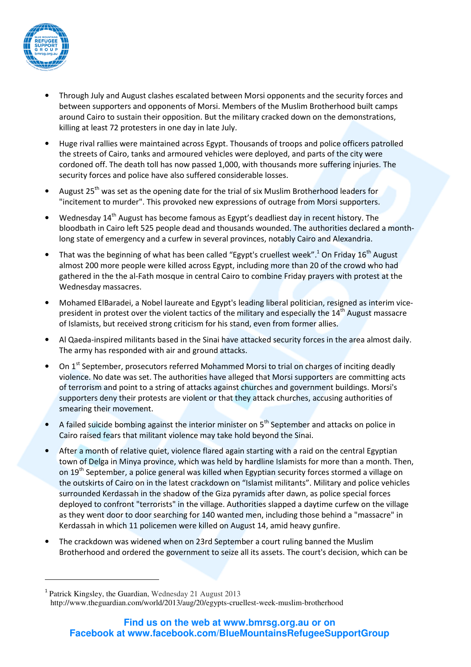

 $\overline{\phantom{a}}$ 

- Through July and August clashes escalated between Morsi opponents and the security forces and between supporters and opponents of Morsi. Members of the Muslim Brotherhood built camps around Cairo to sustain their opposition. But the military cracked down on the demonstrations, killing at least 72 protesters in one day in late July.
- Huge rival rallies were maintained across Egypt. Thousands of troops and police officers patrolled the streets of Cairo, tanks and armoured vehicles were deployed, and parts of the city were cordoned off. The death toll has now passed 1,000, with thousands more suffering injuries. The security forces and police have also suffered considerable losses.
- August  $25<sup>th</sup>$  was set as the opening date for the trial of six Muslim Brotherhood leaders for "incitement to murder". This provoked new expressions of outrage from Morsi supporters.
- Wednesday  $14<sup>th</sup>$  August has become famous as Egypt's deadliest day in recent history. The bloodbath in Cairo left 525 people dead and thousands wounded. The authorities declared a monthlong state of emergency and a curfew in several provinces, notably Cairo and Alexandria.
- That was the beginning of what has been called "Egypt's cruellest week".<sup>1</sup> On Friday 16<sup>th</sup> August almost 200 more people were killed across Egypt, including more than 20 of the crowd who had gathered in the the al-Fath mosque in central Cairo to combine Friday prayers with protest at the Wednesday massacres.
- Mohamed ElBaradei, a Nobel laureate and Egypt's leading liberal politician, resigned as interim vicepresident in protest over the violent tactics of the military and especially the  $14<sup>th</sup>$  August massacre of Islamists, but received strong criticism for his stand, even from former allies.
- Al Qaeda-inspired militants based in the Sinai have attacked security forces in the area almost daily. The army has responded with air and ground attacks.
- On 1<sup>st</sup> September, prosecutors referred Mohammed Morsi to trial on charges of inciting deadly violence. No date was set. The authorities have alleged that Morsi supporters are committing acts of terrorism and point to a string of attacks against churches and government buildings. Morsi's supporters deny their protests are violent or that they attack churches, accusing authorities of smearing their movement.
- A failed suicide bombing against the interior minister on 5<sup>th</sup> September and attacks on police in Cairo raised fears that militant violence may take hold beyond the Sinai.
- After a month of relative quiet, violence flared again starting with a raid on the central Egyptian town of Delga in Minya province, which was held by hardline Islamists for more than a month. Then, on 19<sup>th</sup> September, a police general was killed when Egyptian security forces stormed a village on the outskirts of Cairo on in the latest crackdown on "Islamist militants". Military and police vehicles surrounded Kerdassah in the shadow of the Giza pyramids after dawn, as police special forces deployed to confront "terrorists" in the village. Authorities slapped a daytime curfew on the village as they went door to door searching for 140 wanted men, including those behind a "massacre" in Kerdassah in which 11 policemen were killed on August 14, amid heavy gunfire.
- The crackdown was widened when on 23rd September a court ruling banned the Muslim Brotherhood and ordered the government to seize all its assets. The court's decision, which can be

<sup>&</sup>lt;sup>1</sup> Patrick Kingsley, the Guardian, Wednesday 21 August 2013 http://www.theguardian.com/world/2013/aug/20/egypts-cruellest-week-muslim-brotherhood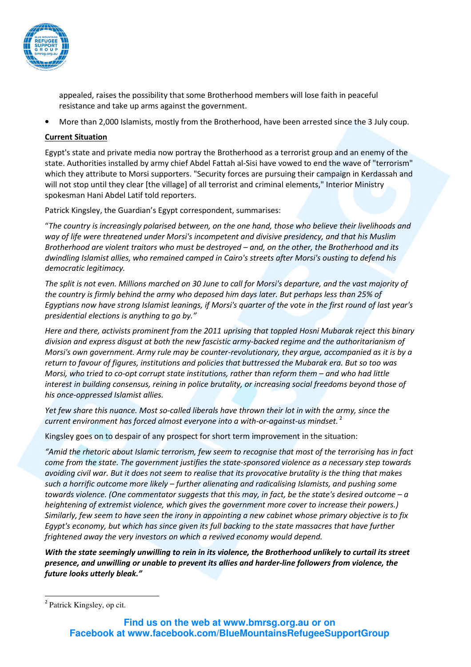

appealed, raises the possibility that some Brotherhood members will lose faith in peaceful resistance and take up arms against the government.

• More than 2,000 Islamists, mostly from the Brotherhood, have been arrested since the 3 July coup.

#### **Current Situation**

Egypt's state and private media now portray the Brotherhood as a terrorist group and an enemy of the state. Authorities installed by army chief Abdel Fattah al-Sisi have vowed to end the wave of "terrorism" which they attribute to Morsi supporters. "Security forces are pursuing their campaign in Kerdassah and will not stop until they clear [the village] of all terrorist and criminal elements," Interior Ministry spokesman Hani Abdel Latif told reporters.

Patrick Kingsley, the Guardian's Egypt correspondent, summarises:

"*The country is increasingly polarised between, on the one hand, those who believe their livelihoods and way of life were threatened under Morsi's incompetent and divisive presidency, and that his Muslim Brotherhood are violent traitors who must be destroyed – and, on the other, the Brotherhood and its dwindling Islamist allies, who remained camped in Cairo's streets after Morsi's ousting to defend his democratic legitimacy.* 

*The split is not even. Millions marched on 30 June to call for Morsi's departure, and the vast majority of the country is firmly behind the army who deposed him days later. But perhaps less than 25% of Egyptians now have strong Islamist leanings, if Morsi's quarter of the vote in the first round of last year's presidential elections is anything to go by."*

*Here and there, activists prominent from the 2011 uprising that toppled Hosni Mubarak reject this binary division and express disgust at both the new fascistic army-backed regime and the authoritarianism of Morsi's own government. Army rule may be counter-revolutionary, they argue, accompanied as it is by a return to favour of figures, institutions and policies that buttressed the Mubarak era. But so too was Morsi, who tried to co-opt corrupt state institutions, rather than reform them – and who had little interest in building consensus, reining in police brutality, or increasing social freedoms beyond those of his once-oppressed Islamist allies.* 

*Yet few share this nuance. Most so-called liberals have thrown their lot in with the army, since the current environment has forced almost everyone into a with-or-against-us mindset.*<sup>2</sup>

Kingsley goes on to despair of any prospect for short term improvement in the situation:

*"Amid the rhetoric about Islamic terrorism, few seem to recognise that most of the terrorising has in fact come from the state. The government justifies the state-sponsored violence as a necessary step towards avoiding civil war. But it does not seem to realise that its provocative brutality is the thing that makes such a horrific outcome more likely – further alienating and radicalising Islamists, and pushing some towards violence. (One commentator suggests that this may, in fact, be the state's desired outcome – a heightening of extremist violence, which gives the government more cover to increase their powers.) Similarly, few seem to have seen the irony in appointing a new cabinet whose primary objective is to fix Egypt's economy, but which has since given its full backing to the state massacres that have further frightened away the very investors on which a revived economy would depend.* 

*With the state seemingly unwilling to rein in its violence, the Brotherhood unlikely to curtail its street presence, and unwilling or unable to prevent its allies and harder-line followers from violence, the future looks utterly bleak."* 

 $\overline{\phantom{a}}$ 

<sup>&</sup>lt;sup>2</sup> Patrick Kingsley, op cit.